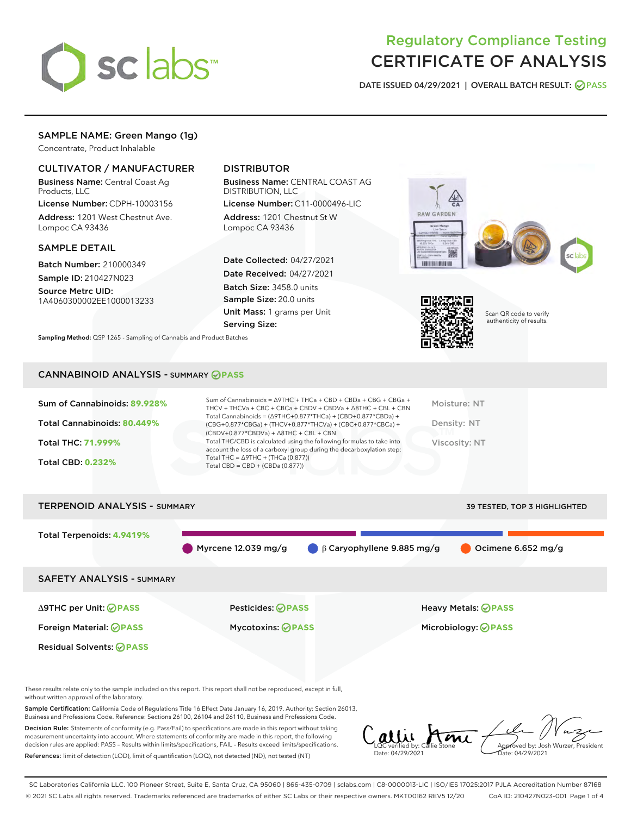

## Regulatory Compliance Testing CERTIFICATE OF ANALYSIS

DATE ISSUED 04/29/2021 | OVERALL BATCH RESULT: @ PASS

## SAMPLE NAME: Green Mango (1g)

Concentrate, Product Inhalable

#### CULTIVATOR / MANUFACTURER

Business Name: Central Coast Ag Products, LLC

License Number: CDPH-10003156 Address: 1201 West Chestnut Ave. Lompoc CA 93436

#### SAMPLE DETAIL

Batch Number: 210000349

Sample ID: 210427N023 Source Metrc UID:

1A4060300002EE1000013233

### DISTRIBUTOR

Business Name: CENTRAL COAST AG DISTRIBUTION, LLC

License Number: C11-0000496-LIC Address: 1201 Chestnut St W Lompoc CA 93436

Date Collected: 04/27/2021 Date Received: 04/27/2021 Batch Size: 3458.0 units Sample Size: 20.0 units Unit Mass: 1 grams per Unit Serving Size:





Scan QR code to verify authenticity of results.

CANNABINOID ANALYSIS - SUMMARY **PASS**

Sampling Method: QSP 1265 - Sampling of Cannabis and Product Batches

| Sum of Cannabinoids: 89.928% | Sum of Cannabinoids = $\triangle$ 9THC + THCa + CBD + CBDa + CBG + CBGa +<br>THCV + THCVa + CBC + CBCa + CBDV + CBDVa + $\Delta$ 8THC + CBL + CBN                                    | Moisture: NT  |
|------------------------------|--------------------------------------------------------------------------------------------------------------------------------------------------------------------------------------|---------------|
| Total Cannabinoids: 80.449%  | Total Cannabinoids = $(\Delta$ 9THC+0.877*THCa) + (CBD+0.877*CBDa) +<br>(CBG+0.877*CBGa) + (THCV+0.877*THCVa) + (CBC+0.877*CBCa) +<br>$(CBDV+0.877*CBDVa) + \Delta 8THC + CBL + CBN$ | Density: NT   |
| <b>Total THC: 71.999%</b>    | Total THC/CBD is calculated using the following formulas to take into<br>account the loss of a carboxyl group during the decarboxylation step:                                       | Viscosity: NT |
| <b>Total CBD: 0.232%</b>     | Total THC = $\triangle$ 9THC + (THCa (0.877))<br>Total CBD = $CBD + (CBDa (0.877))$                                                                                                  |               |
|                              |                                                                                                                                                                                      |               |

# TERPENOID ANALYSIS - SUMMARY 39 TESTED, TOP 3 HIGHLIGHTED Total Terpenoids: **4.9419%** Myrcene 12.039 mg/g  $\qquad \qquad \beta$  Caryophyllene 9.885 mg/g  $\qquad \qquad$  Ocimene 6.652 mg/g SAFETY ANALYSIS - SUMMARY Δ9THC per Unit: **PASS** Pesticides: **PASS** Heavy Metals: **PASS** Foreign Material: **PASS** Mycotoxins: **PASS** Microbiology: **PASS** Residual Solvents: **OPASS**

These results relate only to the sample included on this report. This report shall not be reproduced, except in full, without written approval of the laboratory.

Sample Certification: California Code of Regulations Title 16 Effect Date January 16, 2019. Authority: Section 26013, Business and Professions Code. Reference: Sections 26100, 26104 and 26110, Business and Professions Code.

Decision Rule: Statements of conformity (e.g. Pass/Fail) to specifications are made in this report without taking measurement uncertainty into account. Where statements of conformity are made in this report, the following decision rules are applied: PASS – Results within limits/specifications, FAIL – Results exceed limits/specifications. References: limit of detection (LOD), limit of quantification (LOQ), not detected (ND), not tested (NT)

LQC verified by: Callie Stone Date: 04/29/2021 **A**<br>Approved by: Josh Wurzer, President Date: 04/29/2021

SC Laboratories California LLC. 100 Pioneer Street, Suite E, Santa Cruz, CA 95060 | 866-435-0709 | sclabs.com | C8-0000013-LIC | ISO/IES 17025:2017 PJLA Accreditation Number 87168 © 2021 SC Labs all rights reserved. Trademarks referenced are trademarks of either SC Labs or their respective owners. MKT00162 REV5 12/20 CoA ID: 210427N023-001 Page 1 of 4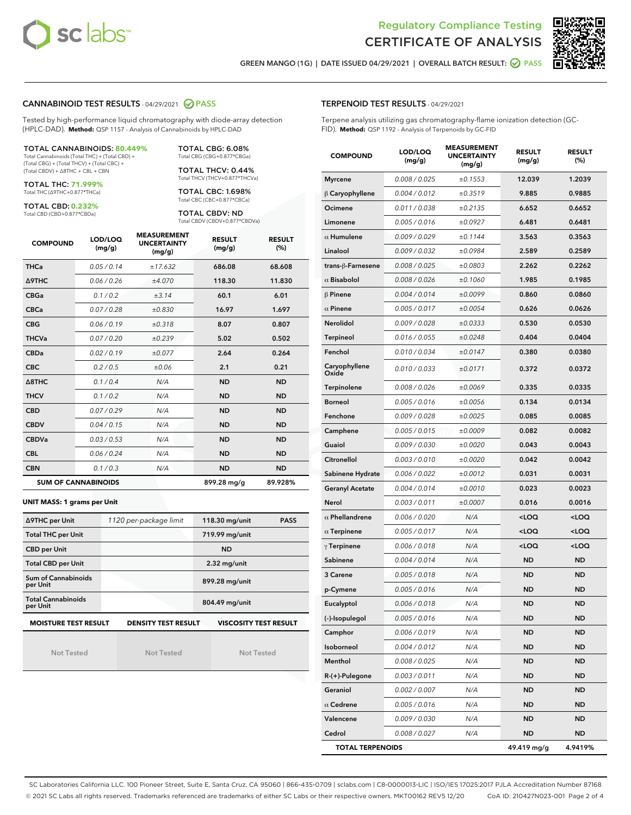



GREEN MANGO (1G) | DATE ISSUED 04/29/2021 | OVERALL BATCH RESULT: @ PASS

#### CANNABINOID TEST RESULTS - 04/29/2021 2 PASS

Tested by high-performance liquid chromatography with diode-array detection (HPLC-DAD). **Method:** QSP 1157 - Analysis of Cannabinoids by HPLC-DAD

#### TOTAL CANNABINOIDS: **80.449%**

Total Cannabinoids (Total THC) + (Total CBD) + (Total CBG) + (Total THCV) + (Total CBC) + (Total CBDV) + ∆8THC + CBL + CBN

TOTAL THC: **71.999%** Total THC (∆9THC+0.877\*THCa)

TOTAL CBD: **0.232%**

Total CBD (CBD+0.877\*CBDa)

TOTAL CBG: 6.08% Total CBG (CBG+0.877\*CBGa)

TOTAL THCV: 0.44% Total THCV (THCV+0.877\*THCVa)

TOTAL CBC: 1.698% Total CBC (CBC+0.877\*CBCa)

TOTAL CBDV: ND Total CBDV (CBDV+0.877\*CBDVa)

| <b>COMPOUND</b>  | LOD/LOQ<br>(mg/g)          | <b>MEASUREMENT</b><br><b>UNCERTAINTY</b><br>(mg/g) | <b>RESULT</b><br>(mg/g) | <b>RESULT</b><br>(%) |
|------------------|----------------------------|----------------------------------------------------|-------------------------|----------------------|
| <b>THCa</b>      | 0.05 / 0.14                | ±17.632                                            | 686.08                  | 68.608               |
| <b>A9THC</b>     | 0.06/0.26                  | ±4.070                                             | 118.30                  | 11.830               |
| <b>CBGa</b>      | 0.1 / 0.2                  | ±3.14                                              | 60.1                    | 6.01                 |
| <b>CBCa</b>      | 0.07/0.28                  | ±0.830                                             | 16.97                   | 1.697                |
| <b>CBG</b>       | 0.06/0.19                  | ±0.318                                             | 8.07                    | 0.807                |
| <b>THCVa</b>     | 0.07/0.20                  | ±0.239                                             | 5.02                    | 0.502                |
| <b>CBDa</b>      | 0.02/0.19                  | ±0.077                                             | 2.64                    | 0.264                |
| <b>CBC</b>       | 0.2/0.5                    | ±0.06                                              | 2.1                     | 0.21                 |
| $\triangle$ 8THC | 0.1/0.4                    | N/A                                                | <b>ND</b>               | <b>ND</b>            |
| <b>THCV</b>      | 0.1 / 0.2                  | N/A                                                | <b>ND</b>               | <b>ND</b>            |
| <b>CBD</b>       | 0.07/0.29                  | N/A                                                | <b>ND</b>               | <b>ND</b>            |
| <b>CBDV</b>      | 0.04/0.15                  | N/A                                                | <b>ND</b>               | <b>ND</b>            |
| <b>CBDVa</b>     | 0.03/0.53                  | N/A                                                | <b>ND</b>               | <b>ND</b>            |
| <b>CBL</b>       | 0.06 / 0.24                | N/A                                                | <b>ND</b>               | <b>ND</b>            |
| <b>CBN</b>       | 0.1/0.3                    | N/A                                                | <b>ND</b>               | <b>ND</b>            |
|                  | <b>SUM OF CANNABINOIDS</b> |                                                    | 899.28 mg/g             | 89.928%              |

#### **UNIT MASS: 1 grams per Unit**

| ∆9THC per Unit                        | 1120 per-package limit     | 118.30 mg/unit<br><b>PASS</b> |  |  |
|---------------------------------------|----------------------------|-------------------------------|--|--|
| <b>Total THC per Unit</b>             |                            | 719.99 mg/unit                |  |  |
| <b>CBD per Unit</b>                   |                            | <b>ND</b>                     |  |  |
| <b>Total CBD per Unit</b>             |                            | $2.32$ mg/unit                |  |  |
| Sum of Cannabinoids<br>per Unit       |                            | 899.28 mg/unit                |  |  |
| <b>Total Cannabinoids</b><br>per Unit |                            | 804.49 mg/unit                |  |  |
| <b>MOISTURE TEST RESULT</b>           | <b>DENSITY TEST RESULT</b> | <b>VISCOSITY TEST RESULT</b>  |  |  |

Not Tested

Not Tested

Not Tested

#### TERPENOID TEST RESULTS - 04/29/2021

Terpene analysis utilizing gas chromatography-flame ionization detection (GC-FID). **Method:** QSP 1192 - Analysis of Terpenoids by GC-FID

| <b>COMPOUND</b>         | LOD/LOQ<br>(mg/g) | <b>MEASUREMENT</b><br><b>UNCERTAINTY</b><br>(mg/g) | <b>RESULT</b><br>(mg/g)                         | <b>RESULT</b><br>(%) |
|-------------------------|-------------------|----------------------------------------------------|-------------------------------------------------|----------------------|
| <b>Myrcene</b>          | 0.008 / 0.025     | ±0.1553                                            | 12.039                                          | 1.2039               |
| $\upbeta$ Caryophyllene | 0.004 / 0.012     | ±0.3519                                            | 9.885                                           | 0.9885               |
| Ocimene                 | 0.011 / 0.038     | ±0.2135                                            | 6.652                                           | 0.6652               |
| Limonene                | 0.005 / 0.016     | ±0.0927                                            | 6.481                                           | 0.6481               |
| $\alpha$ Humulene       | 0.009/0.029       | ±0.1144                                            | 3.563                                           | 0.3563               |
| Linalool                | 0.009 / 0.032     | ±0.0984                                            | 2.589                                           | 0.2589               |
| trans-β-Farnesene       | 0.008 / 0.025     | ±0.0803                                            | 2.262                                           | 0.2262               |
| $\alpha$ Bisabolol      | 0.008 / 0.026     | ±0.1060                                            | 1.985                                           | 0.1985               |
| $\beta$ Pinene          | 0.004 / 0.014     | ±0.0099                                            | 0.860                                           | 0.0860               |
| $\alpha$ Pinene         | 0.005 / 0.017     | ±0.0054                                            | 0.626                                           | 0.0626               |
| Nerolidol               | 0.009 / 0.028     | ±0.0333                                            | 0.530                                           | 0.0530               |
| Terpineol               | 0.016 / 0.055     | ±0.0248                                            | 0.404                                           | 0.0404               |
| Fenchol                 | 0.010 / 0.034     | ±0.0147                                            | 0.380                                           | 0.0380               |
| Caryophyllene<br>Oxide  | 0.010 / 0.033     | ±0.0171                                            | 0.372                                           | 0.0372               |
| Terpinolene             | 0.008 / 0.026     | ±0.0069                                            | 0.335                                           | 0.0335               |
| <b>Borneol</b>          | 0.005 / 0.016     | ±0.0056                                            | 0.134                                           | 0.0134               |
| Fenchone                | 0.009 / 0.028     | ±0.0025                                            | 0.085                                           | 0.0085               |
| Camphene                | 0.005 / 0.015     | ±0.0009                                            | 0.082                                           | 0.0082               |
| Guaiol                  | 0.009 / 0.030     | ±0.0020                                            | 0.043                                           | 0.0043               |
| Citronellol             | 0.003 / 0.010     | ±0.0020                                            | 0.042                                           | 0.0042               |
| Sabinene Hydrate        | 0.006 / 0.022     | ±0.0012                                            | 0.031                                           | 0.0031               |
| <b>Geranyl Acetate</b>  | 0.004 / 0.014     | ±0.0010                                            | 0.023                                           | 0.0023               |
| Nerol                   | 0.003 / 0.011     | ±0.0007                                            | 0.016                                           | 0.0016               |
| $\alpha$ Phellandrene   | 0.006 / 0.020     | N/A                                                | <loq< th=""><th><loq< th=""></loq<></th></loq<> | <loq< th=""></loq<>  |
| $\alpha$ Terpinene      | 0.005 / 0.017     | N/A                                                | <loq< th=""><th><loq< th=""></loq<></th></loq<> | <loq< th=""></loq<>  |
| $\gamma$ Terpinene      | 0.006 / 0.018     | N/A                                                | <loq< th=""><th><loq< th=""></loq<></th></loq<> | <loq< th=""></loq<>  |
| Sabinene                | 0.004 / 0.014     | N/A                                                | ND                                              | <b>ND</b>            |
| 3 Carene                | 0.005 / 0.018     | N/A                                                | ND                                              | <b>ND</b>            |
| p-Cymene                | 0.005 / 0.016     | N/A                                                | <b>ND</b>                                       | <b>ND</b>            |
| Eucalyptol              | 0.006 / 0.018     | N/A                                                | <b>ND</b>                                       | ND                   |
| (-)-Isopulegol          | 0.005 / 0.016     | N/A                                                | ND                                              | <b>ND</b>            |
| Camphor                 | 0.006 / 0.019     | N/A                                                | <b>ND</b>                                       | ND                   |
| Isoborneol              | 0.004 / 0.012     | N/A                                                | ND                                              | <b>ND</b>            |
| Menthol                 | 0.008 / 0.025     | N/A                                                | ND                                              | <b>ND</b>            |
| R-(+)-Pulegone          | 0.003 / 0.011     | N/A                                                | ND                                              | ND                   |
| Geraniol                | 0.002 / 0.007     | N/A                                                | ND                                              | ND                   |
| $\alpha$ Cedrene        | 0.005 / 0.016     | N/A                                                | ND                                              | <b>ND</b>            |
| Valencene               | 0.009 / 0.030     | N/A                                                | ND                                              | ND                   |
| Cedrol                  | 0.008 / 0.027     | N/A                                                | ND                                              | <b>ND</b>            |
| <b>TOTAL TERPENOIDS</b> |                   |                                                    | 49.419 mg/g                                     | 4.9419%              |

SC Laboratories California LLC. 100 Pioneer Street, Suite E, Santa Cruz, CA 95060 | 866-435-0709 | sclabs.com | C8-0000013-LIC | ISO/IES 17025:2017 PJLA Accreditation Number 87168 © 2021 SC Labs all rights reserved. Trademarks referenced are trademarks of either SC Labs or their respective owners. MKT00162 REV5 12/20 CoA ID: 210427N023-001 Page 2 of 4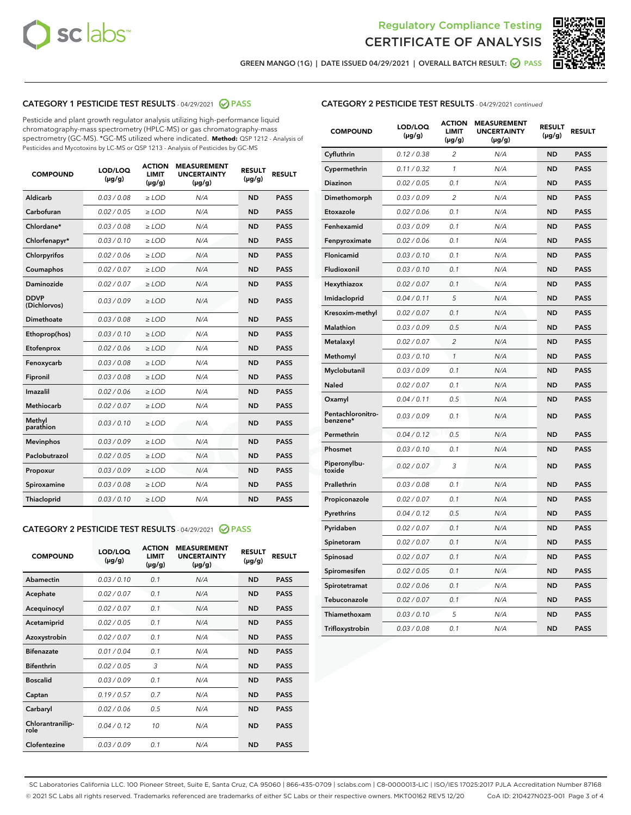



GREEN MANGO (1G) | DATE ISSUED 04/29/2021 | OVERALL BATCH RESULT: 2 PASS

#### CATEGORY 1 PESTICIDE TEST RESULTS - 04/29/2021 2 PASS

Pesticide and plant growth regulator analysis utilizing high-performance liquid chromatography-mass spectrometry (HPLC-MS) or gas chromatography-mass spectrometry (GC-MS). \*GC-MS utilized where indicated. **Method:** QSP 1212 - Analysis of Pesticides and Mycotoxins by LC-MS or QSP 1213 - Analysis of Pesticides by GC-MS

| <b>COMPOUND</b>             | LOD/LOQ<br>$(\mu g/g)$ | <b>ACTION</b><br><b>LIMIT</b><br>$(\mu g/g)$ | <b>MEASUREMENT</b><br><b>UNCERTAINTY</b><br>$(\mu g/g)$ | <b>RESULT</b><br>$(\mu g/g)$ | <b>RESULT</b> |
|-----------------------------|------------------------|----------------------------------------------|---------------------------------------------------------|------------------------------|---------------|
| Aldicarb                    | 0.03 / 0.08            | $\ge$ LOD                                    | N/A                                                     | <b>ND</b>                    | <b>PASS</b>   |
| Carbofuran                  | 0.02/0.05              | $>$ LOD                                      | N/A                                                     | <b>ND</b>                    | <b>PASS</b>   |
| Chlordane*                  | 0.03 / 0.08            | $\ge$ LOD                                    | N/A                                                     | <b>ND</b>                    | <b>PASS</b>   |
| Chlorfenapyr*               | 0.03/0.10              | $>$ LOD                                      | N/A                                                     | <b>ND</b>                    | <b>PASS</b>   |
| Chlorpyrifos                | 0.02 / 0.06            | $\geq$ LOD                                   | N/A                                                     | <b>ND</b>                    | <b>PASS</b>   |
| Coumaphos                   | 0.02 / 0.07            | $\ge$ LOD                                    | N/A                                                     | <b>ND</b>                    | <b>PASS</b>   |
| Daminozide                  | 0.02 / 0.07            | $\ge$ LOD                                    | N/A                                                     | <b>ND</b>                    | <b>PASS</b>   |
| <b>DDVP</b><br>(Dichlorvos) | 0.03/0.09              | $\ge$ LOD                                    | N/A                                                     | <b>ND</b>                    | <b>PASS</b>   |
| Dimethoate                  | 0.03/0.08              | $>$ LOD                                      | N/A                                                     | <b>ND</b>                    | <b>PASS</b>   |
| Ethoprop(hos)               | 0.03/0.10              | $\ge$ LOD                                    | N/A                                                     | <b>ND</b>                    | <b>PASS</b>   |
| Etofenprox                  | 0.02 / 0.06            | $\ge$ LOD                                    | N/A                                                     | <b>ND</b>                    | <b>PASS</b>   |
| Fenoxycarb                  | 0.03 / 0.08            | $\ge$ LOD                                    | N/A                                                     | <b>ND</b>                    | <b>PASS</b>   |
| Fipronil                    | 0.03/0.08              | $>$ LOD                                      | N/A                                                     | <b>ND</b>                    | <b>PASS</b>   |
| Imazalil                    | 0.02 / 0.06            | $\ge$ LOD                                    | N/A                                                     | <b>ND</b>                    | <b>PASS</b>   |
| Methiocarb                  | 0.02 / 0.07            | $\ge$ LOD                                    | N/A                                                     | <b>ND</b>                    | <b>PASS</b>   |
| Methyl<br>parathion         | 0.03/0.10              | $\ge$ LOD                                    | N/A                                                     | <b>ND</b>                    | <b>PASS</b>   |
| <b>Mevinphos</b>            | 0.03/0.09              | $>$ LOD                                      | N/A                                                     | <b>ND</b>                    | <b>PASS</b>   |
| Paclobutrazol               | 0.02 / 0.05            | $\ge$ LOD                                    | N/A                                                     | <b>ND</b>                    | <b>PASS</b>   |
| Propoxur                    | 0.03/0.09              | $\ge$ LOD                                    | N/A                                                     | <b>ND</b>                    | <b>PASS</b>   |
| Spiroxamine                 | 0.03 / 0.08            | $\ge$ LOD                                    | N/A                                                     | <b>ND</b>                    | <b>PASS</b>   |
| Thiacloprid                 | 0.03/0.10              | $\ge$ LOD                                    | N/A                                                     | <b>ND</b>                    | <b>PASS</b>   |

#### CATEGORY 2 PESTICIDE TEST RESULTS - 04/29/2021 @ PASS

| <b>COMPOUND</b>          | LOD/LOQ<br>$(\mu g/g)$ | <b>ACTION</b><br><b>LIMIT</b><br>$(\mu g/g)$ | <b>MEASUREMENT</b><br><b>UNCERTAINTY</b><br>$(\mu g/g)$ | <b>RESULT</b><br>$(\mu g/g)$ | <b>RESULT</b> |
|--------------------------|------------------------|----------------------------------------------|---------------------------------------------------------|------------------------------|---------------|
| Abamectin                | 0.03/0.10              | 0.1                                          | N/A                                                     | <b>ND</b>                    | <b>PASS</b>   |
| Acephate                 | 0.02/0.07              | 0.1                                          | N/A                                                     | <b>ND</b>                    | <b>PASS</b>   |
| Acequinocyl              | 0.02/0.07              | 0.1                                          | N/A                                                     | <b>ND</b>                    | <b>PASS</b>   |
| Acetamiprid              | 0.02/0.05              | 0.1                                          | N/A                                                     | <b>ND</b>                    | <b>PASS</b>   |
| Azoxystrobin             | 0.02/0.07              | 0.1                                          | N/A                                                     | <b>ND</b>                    | <b>PASS</b>   |
| <b>Bifenazate</b>        | 0.01/0.04              | 0.1                                          | N/A                                                     | <b>ND</b>                    | <b>PASS</b>   |
| <b>Bifenthrin</b>        | 0.02 / 0.05            | 3                                            | N/A                                                     | <b>ND</b>                    | <b>PASS</b>   |
| <b>Boscalid</b>          | 0.03/0.09              | 0.1                                          | N/A                                                     | <b>ND</b>                    | <b>PASS</b>   |
| Captan                   | 0.19/0.57              | 0.7                                          | N/A                                                     | <b>ND</b>                    | <b>PASS</b>   |
| Carbaryl                 | 0.02/0.06              | 0.5                                          | N/A                                                     | <b>ND</b>                    | <b>PASS</b>   |
| Chlorantranilip-<br>role | 0.04/0.12              | 10                                           | N/A                                                     | <b>ND</b>                    | <b>PASS</b>   |
| Clofentezine             | 0.03/0.09              | 0.1                                          | N/A                                                     | <b>ND</b>                    | <b>PASS</b>   |

| <b>COMPOUND</b>               | LOD/LOQ<br>(µg/g) | <b>ACTION</b><br>LIMIT<br>$(\mu g/g)$ | <b>MEASUREMENT</b><br><b>UNCERTAINTY</b><br>$(\mu g/g)$ | <b>RESULT</b><br>(µg/g) | <b>RESULT</b> |
|-------------------------------|-------------------|---------------------------------------|---------------------------------------------------------|-------------------------|---------------|
| Cyfluthrin                    | 0.12 / 0.38       | 2                                     | N/A                                                     | <b>ND</b>               | <b>PASS</b>   |
| Cypermethrin                  | 0.11 / 0.32       | $\mathcal{I}$                         | N/A                                                     | <b>ND</b>               | <b>PASS</b>   |
| Diazinon                      | 0.02 / 0.05       | 0.1                                   | N/A                                                     | <b>ND</b>               | <b>PASS</b>   |
| Dimethomorph                  | 0.03 / 0.09       | 2                                     | N/A                                                     | <b>ND</b>               | <b>PASS</b>   |
| Etoxazole                     | 0.02 / 0.06       | 0.1                                   | N/A                                                     | <b>ND</b>               | <b>PASS</b>   |
| Fenhexamid                    | 0.03 / 0.09       | 0.1                                   | N/A                                                     | <b>ND</b>               | <b>PASS</b>   |
| Fenpyroximate                 | 0.02 / 0.06       | 0.1                                   | N/A                                                     | <b>ND</b>               | <b>PASS</b>   |
| Flonicamid                    | 0.03 / 0.10       | 0.1                                   | N/A                                                     | <b>ND</b>               | <b>PASS</b>   |
| Fludioxonil                   | 0.03 / 0.10       | 0.1                                   | N/A                                                     | <b>ND</b>               | <b>PASS</b>   |
| Hexythiazox                   | 0.02 / 0.07       | 0.1                                   | N/A                                                     | <b>ND</b>               | <b>PASS</b>   |
| Imidacloprid                  | 0.04 / 0.11       | 5                                     | N/A                                                     | <b>ND</b>               | <b>PASS</b>   |
| Kresoxim-methyl               | 0.02 / 0.07       | 0.1                                   | N/A                                                     | <b>ND</b>               | <b>PASS</b>   |
| Malathion                     | 0.03 / 0.09       | 0.5                                   | N/A                                                     | <b>ND</b>               | <b>PASS</b>   |
| Metalaxyl                     | 0.02 / 0.07       | $\overline{c}$                        | N/A                                                     | <b>ND</b>               | <b>PASS</b>   |
| Methomyl                      | 0.03 / 0.10       | $\mathcal{I}$                         | N/A                                                     | <b>ND</b>               | <b>PASS</b>   |
| Myclobutanil                  | 0.03 / 0.09       | 0.1                                   | N/A                                                     | <b>ND</b>               | <b>PASS</b>   |
| Naled                         | 0.02 / 0.07       | 0.1                                   | N/A                                                     | <b>ND</b>               | <b>PASS</b>   |
| Oxamyl                        | 0.04 / 0.11       | 0.5                                   | N/A                                                     | <b>ND</b>               | <b>PASS</b>   |
| Pentachloronitro-<br>benzene* | 0.03/0.09         | 0.1                                   | N/A                                                     | <b>ND</b>               | <b>PASS</b>   |
| Permethrin                    | 0.04 / 0.12       | 0.5                                   | N/A                                                     | <b>ND</b>               | <b>PASS</b>   |
| Phosmet                       | 0.03 / 0.10       | 0.1                                   | N/A                                                     | <b>ND</b>               | <b>PASS</b>   |
| Piperonylbu-<br>toxide        | 0.02 / 0.07       | 3                                     | N/A                                                     | <b>ND</b>               | <b>PASS</b>   |
| Prallethrin                   | 0.03 / 0.08       | 0.1                                   | N/A                                                     | <b>ND</b>               | <b>PASS</b>   |
| Propiconazole                 | 0.02 / 0.07       | 0.1                                   | N/A                                                     | <b>ND</b>               | <b>PASS</b>   |
| Pyrethrins                    | 0.04 / 0.12       | 0.5                                   | N/A                                                     | <b>ND</b>               | <b>PASS</b>   |
| Pyridaben                     | 0.02 / 0.07       | 0.1                                   | N/A                                                     | <b>ND</b>               | <b>PASS</b>   |
| Spinetoram                    | 0.02 / 0.07       | 0.1                                   | N/A                                                     | <b>ND</b>               | <b>PASS</b>   |
| Spinosad                      | 0.02 / 0.07       | 0.1                                   | N/A                                                     | <b>ND</b>               | <b>PASS</b>   |
| Spiromesifen                  | 0.02 / 0.05       | 0.1                                   | N/A                                                     | <b>ND</b>               | <b>PASS</b>   |
| Spirotetramat                 | 0.02 / 0.06       | 0.1                                   | N/A                                                     | <b>ND</b>               | <b>PASS</b>   |
| Tebuconazole                  | 0.02 / 0.07       | 0.1                                   | N/A                                                     | <b>ND</b>               | <b>PASS</b>   |
| Thiamethoxam                  | 0.03 / 0.10       | 5                                     | N/A                                                     | <b>ND</b>               | <b>PASS</b>   |
| Trifloxystrobin               | 0.03 / 0.08       | 0.1                                   | N/A                                                     | <b>ND</b>               | <b>PASS</b>   |

SC Laboratories California LLC. 100 Pioneer Street, Suite E, Santa Cruz, CA 95060 | 866-435-0709 | sclabs.com | C8-0000013-LIC | ISO/IES 17025:2017 PJLA Accreditation Number 87168 © 2021 SC Labs all rights reserved. Trademarks referenced are trademarks of either SC Labs or their respective owners. MKT00162 REV5 12/20 CoA ID: 210427N023-001 Page 3 of 4